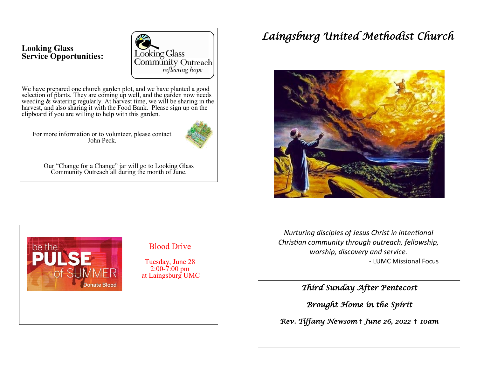## **Looking Glass Service Opportunities:**



We have prepared one church garden plot, and we have planted a good selection of plants. They are coming up well, and the garden now needs weeding & watering regularly. At harvest time, we will be sharing in the harvest, and also sharing it with the Food Bank. Please sign up on the clipboard if you are willing to help with this garden.

For more information or to volunteer, please contact John Peck.



Our "Change for a Change" jar will go to Looking Glass Community Outreach all during the month of June.



# *Laingsburg United Methodist Church*



*Nurturing disciples of Jesus Christ in intentional Christian community through outreach, fellowship, worship, discovery and service.* - LUMC Missional Focus

*Third Sunday After Pentecost* 

*Brought Home in the Spirit* 

*Rev. Tiffany Newsom* † *June 26, 2022* † *10am*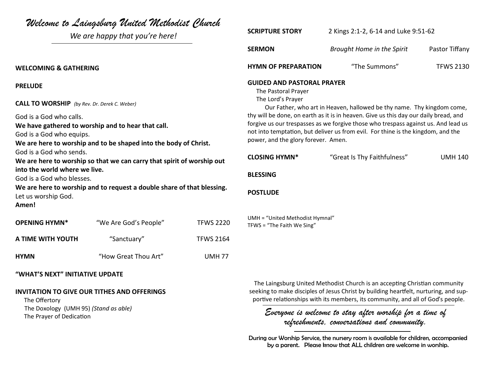| Welcome to Laingsburg United Methodist Church<br>We are happy that you're here! |                                                                        |                  | <b>SCRIPTURE STORY</b>                                                                                                  | 2 Kings 2:1-2, 6-14 and Luke 9:51-62                                       |                  |
|---------------------------------------------------------------------------------|------------------------------------------------------------------------|------------------|-------------------------------------------------------------------------------------------------------------------------|----------------------------------------------------------------------------|------------------|
|                                                                                 |                                                                        |                  | <b>SERMON</b>                                                                                                           | <b>Brought Home in the Spirit</b>                                          | Pastor Tiffany   |
| <b>WELCOMING &amp; GATHERING</b>                                                |                                                                        |                  | <b>HYMN OF PREPARATION</b>                                                                                              | "The Summons"                                                              | <b>TFWS 2130</b> |
| <b>PRELUDE</b>                                                                  |                                                                        |                  | <b>GUIDED AND PASTORAL PRAYER</b><br>The Pastoral Prayer                                                                |                                                                            |                  |
| <b>CALL TO WORSHIP</b> (by Rev. Dr. Derek C. Weber)                             |                                                                        |                  | The Lord's Prayer<br>Our Father, who art in Heaven, hallowed be thy name. Thy kingdom come,                             |                                                                            |                  |
| God is a God who calls.                                                         |                                                                        |                  | thy will be done, on earth as it is in heaven. Give us this day our daily bread, and                                    |                                                                            |                  |
| We have gathered to worship and to hear that call.                              |                                                                        |                  | forgive us our trespasses as we forgive those who trespass against us. And lead us                                      |                                                                            |                  |
| God is a God who equips.                                                        |                                                                        |                  | not into temptation, but deliver us from evil. For thine is the kingdom, and the<br>power, and the glory forever. Amen. |                                                                            |                  |
|                                                                                 | We are here to worship and to be shaped into the body of Christ.       |                  |                                                                                                                         |                                                                            |                  |
| God is a God who sends.                                                         |                                                                        |                  | <b>CLOSING HYMN*</b>                                                                                                    | "Great Is Thy Faithfulness"                                                | <b>UMH 140</b>   |
| We are here to worship so that we can carry that spirit of worship out          |                                                                        |                  |                                                                                                                         |                                                                            |                  |
| into the world where we live.                                                   |                                                                        |                  | <b>BLESSING</b>                                                                                                         |                                                                            |                  |
| God is a God who blesses.                                                       |                                                                        |                  |                                                                                                                         |                                                                            |                  |
| Let us worship God.<br>Amen!                                                    | We are here to worship and to request a double share of that blessing. |                  | <b>POSTLUDE</b>                                                                                                         |                                                                            |                  |
| <b>OPENING HYMN*</b>                                                            | "We Are God's People"                                                  | <b>TFWS 2220</b> | UMH = "United Methodist Hymnal"<br>TFWS = "The Faith We Sing"                                                           |                                                                            |                  |
| A TIME WITH YOUTH                                                               | "Sanctuary"                                                            | <b>TFWS 2164</b> |                                                                                                                         |                                                                            |                  |
| <b>HYMN</b>                                                                     | "How Great Thou Art"                                                   | <b>UMH77</b>     |                                                                                                                         |                                                                            |                  |
| "WHAT'S NEXT" INITIATIVE UPDATE                                                 |                                                                        |                  |                                                                                                                         |                                                                            |                  |
|                                                                                 |                                                                        |                  |                                                                                                                         | The Laingsburg United Methodist Church is an accepting Christian community |                  |

### **INVITATION TO GIVE OUR TITHES AND OFFERINGS**

The Offertory The Doxology (UMH 95) *(Stand as able)* The Prayer of Dedication

The Laingsburg United Methodist Church is an accepting Christian community seeking to make disciples of Jesus Christ by building heartfelt, nurturing, and supportive relationships with its members, its community, and all of God's people.

*Everyone is welcome to stay after worship for a time of refreshments, conversations and community.*

During our Worship Service, the nursery room is available for children, accompanied by a parent. Please know that ALL children are welcome in worship.